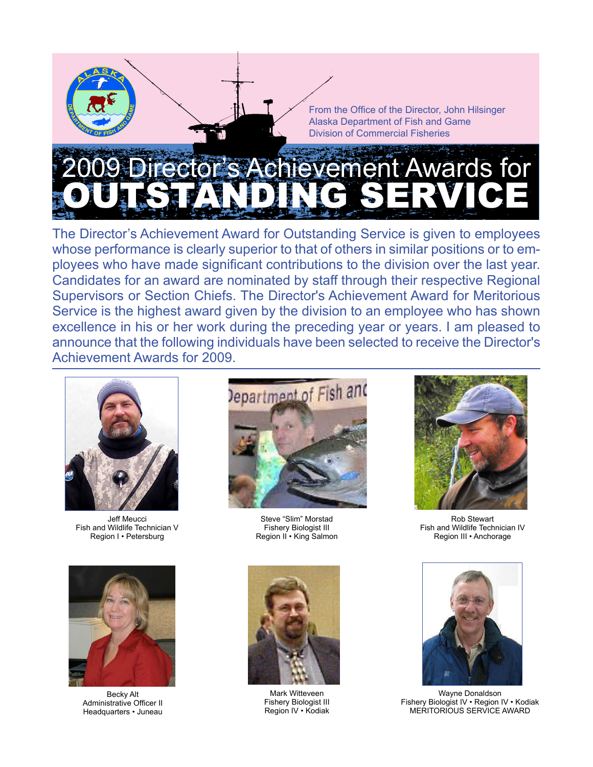

The Director's Achievement Award for Outstanding Service is given to employees whose performance is clearly superior to that of others in similar positions or to employees who have made significant contributions to the division over the last year. Candidates for an award are nominated by staff through their respective Regional Supervisors or Section Chiefs. The Director's Achievement Award for Meritorious Service is the highest award given by the division to an employee who has shown excellence in his or her work during the preceding year or years. I am pleased to announce that the following individuals have been selected to receive the Director's Achievement Awards for 2009.



Jeff Meucci [Fish and Wildlife Technician V](#page-1-0)  Region I • Petersburg



Becky Alt [Administrative Officer II](#page-4-0)  Headquarters • Juneau



Steve "Slim" Morstad Fishery Biologist III [Region II • King Salmon](#page-2-0)



Mark Witteveen [Fishery Biologist III](#page-5-0)  Region IV • Kodiak



Rob Stewart [Fish and Wildlife Technician IV](#page-3-0)  Region III • Anchorage



Wayne Donaldson [Fishery Biologist IV • Region IV • Kodiak](#page-6-0) MERITORIOUS SERVICE AWARD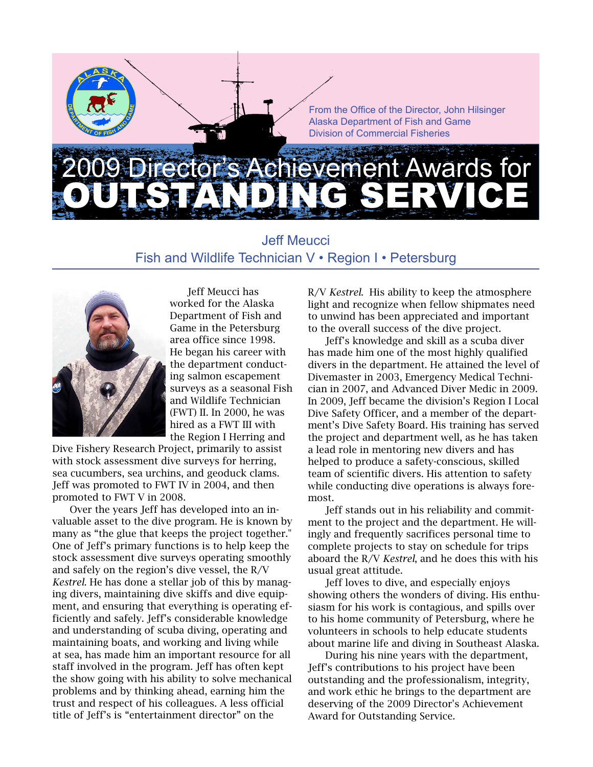<span id="page-1-0"></span>

Jeff Meucci Fish and Wildlife Technician V • Region I • Petersburg



Jeff Meucci has worked for the Alaska Department of Fish and Game in the Petersburg area office since 1998. He began his career with the department conducting salmon escapement surveys as a seasonal Fish and Wildlife Technician (FWT) II. In 2000, he was hired as a FWT III with the Region I Herring and

Dive Fishery Research Project, primarily to assist with stock assessment dive surveys for herring, sea cucumbers, sea urchins, and geoduck clams. Jeff was promoted to FWT IV in 2004, and then promoted to FWT V in 2008.

Over the years Jeff has developed into an invaluable asset to the dive program. He is known by many as "the glue that keeps the project together." One of Jeff's primary functions is to help keep the stock assessment dive surveys operating smoothly and safely on the region's dive vessel, the R/V *Kestrel*. He has done a stellar job of this by managing divers, maintaining dive skiffs and dive equipment, and ensuring that everything is operating efficiently and safely. Jeff's considerable knowledge and understanding of scuba diving, operating and maintaining boats, and working and living while at sea, has made him an important resource for all staff involved in the program. Jeff has often kept the show going with his ability to solve mechanical problems and by thinking ahead, earning him the trust and respect of his colleagues. A less official title of Jeff's is "entertainment director" on the

R/V *Kestrel*. His ability to keep the atmosphere light and recognize when fellow shipmates need to unwind has been appreciated and important to the overall success of the dive project.

Jeff's knowledge and skill as a scuba diver has made him one of the most highly qualified divers in the department. He attained the level of Divemaster in 2003, Emergency Medical Technician in 2007, and Advanced Diver Medic in 2009. In 2009, Jeff became the division's Region I Local Dive Safety Officer, and a member of the department's Dive Safety Board. His training has served the project and department well, as he has taken a lead role in mentoring new divers and has helped to produce a safety-conscious, skilled team of scientific divers. His attention to safety while conducting dive operations is always foremost.

Jeff stands out in his reliability and commitment to the project and the department. He willingly and frequently sacrifices personal time to complete projects to stay on schedule for trips aboard the R/V *Kestrel*, and he does this with his usual great attitude.

Jeff loves to dive, and especially enjoys showing others the wonders of diving. His enthusiasm for his work is contagious, and spills over to his home community of Petersburg, where he volunteers in schools to help educate students about marine life and diving in Southeast Alaska.

During his nine years with the department, Jeff's contributions to his project have been outstanding and the professionalism, integrity, and work ethic he brings to the department are deserving of the 2009 Director's Achievement Award for Outstanding Service.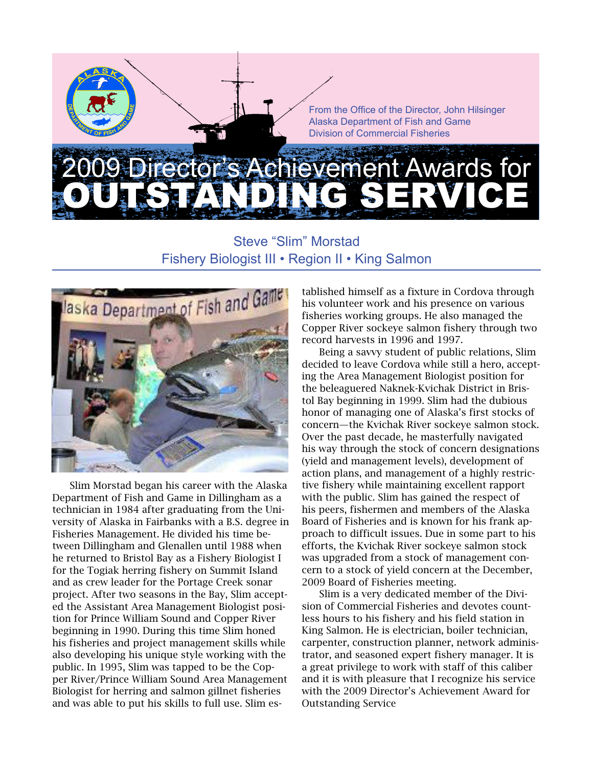<span id="page-2-0"></span>

### Steve "Slim" Morstad Fishery Biologist III • Region II • King Salmon



Slim Morstad began his career with the Alaska Department of Fish and Game in Dillingham as a technician in 1984 after graduating from the University of Alaska in Fairbanks with a B.S. degree in Fisheries Management. He divided his time between Dillingham and Glenallen until 1988 when he returned to Bristol Bay as a Fishery Biologist I for the Togiak herring fishery on Summit Island and as crew leader for the Portage Creek sonar project. After two seasons in the Bay, Slim accepted the Assistant Area Management Biologist position for Prince William Sound and Copper River beginning in 1990. During this time Slim honed his fisheries and project management skills while also developing his unique style working with the public. In 1995, Slim was tapped to be the Copper River/Prince William Sound Area Management Biologist for herring and salmon gillnet fisheries and was able to put his skills to full use. Slim established himself as a fixture in Cordova through his volunteer work and his presence on various fisheries working groups. He also managed the Copper River sockeye salmon fishery through two record harvests in 1996 and 1997.

Being a savvy student of public relations, Slim decided to leave Cordova while still a hero, accepting the Area Management Biologist position for the beleaguered Naknek-Kvichak District in Bristol Bay beginning in 1999. Slim had the dubious honor of managing one of Alaska's first stocks of concern—the Kvichak River sockeye salmon stock. Over the past decade, he masterfully navigated his way through the stock of concern designations (yield and management levels), development of action plans, and management of a highly restrictive fishery while maintaining excellent rapport with the public. Slim has gained the respect of his peers, fishermen and members of the Alaska Board of Fisheries and is known for his frank approach to difficult issues. Due in some part to his efforts, the Kvichak River sockeye salmon stock was upgraded from a stock of management concern to a stock of yield concern at the December, 2009 Board of Fisheries meeting.

Slim is a very dedicated member of the Division of Commercial Fisheries and devotes countless hours to his fishery and his field station in King Salmon. He is electrician, boiler technician, carpenter, construction planner, network administrator, and seasoned expert fishery manager. It is a great privilege to work with staff of this caliber and it is with pleasure that I recognize his service with the 2009 Director's Achievement Award for Outstanding Service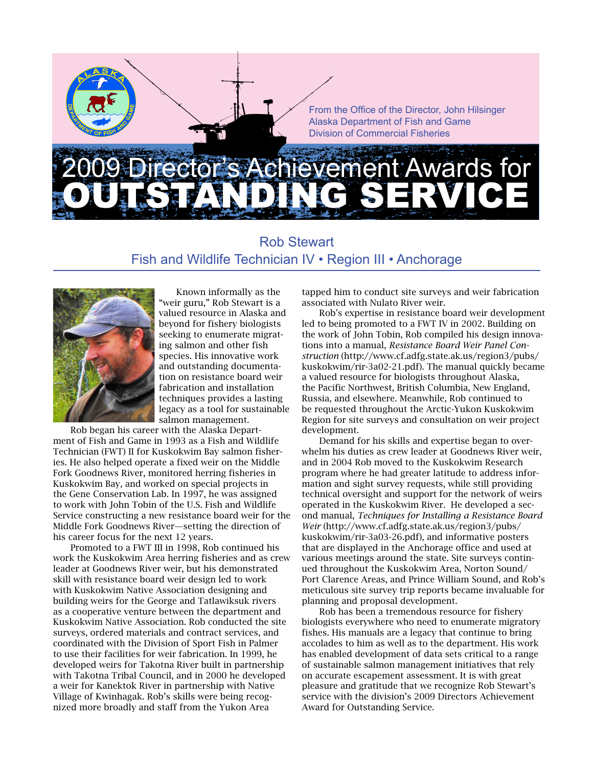# <span id="page-3-0"></span>evement Awards for Outstanding Service

#### Rob Stewart Fish and Wildlife Technician IV • Region III • Anchorage



Known informally as the "weir guru," Rob Stewart is a valued resource in Alaska and beyond for fishery biologists seeking to enumerate migrating salmon and other fish species. His innovative work and outstanding documentation on resistance board weir fabrication and installation techniques provides a lasting legacy as a tool for sustainable salmon management.

Rob began his career with the Alaska Department of Fish and Game in 1993 as a Fish and Wildlife Technician (FWT) II for Kuskokwim Bay salmon fisheries. He also helped operate a fixed weir on the Middle Fork Goodnews River, monitored herring fisheries in Kuskokwim Bay, and worked on special projects in the Gene Conservation Lab. In 1997, he was assigned to work with John Tobin of the U.S. Fish and Wildlife Service constructing a new resistance board weir for the Middle Fork Goodnews River—setting the direction of his career focus for the next 12 years.

Promoted to a FWT III in 1998, Rob continued his work the Kuskokwim Area herring fisheries and as crew leader at Goodnews River weir, but his demonstrated skill with resistance board weir design led to work with Kuskokwim Native Association designing and building weirs for the George and Tatlawiksuk rivers as a cooperative venture between the department and Kuskokwim Native Association. Rob conducted the site surveys, ordered materials and contract services, and coordinated with the Division of Sport Fish in Palmer to use their facilities for weir fabrication. In 1999, he developed weirs for Takotna River built in partnership with Takotna Tribal Council, and in 2000 he developed a weir for Kanektok River in partnership with Native Village of Kwinhagak. Rob's skills were being recognized more broadly and staff from the Yukon Area

tapped him to conduct site surveys and weir fabrication associated with Nulato River weir.

Rob's expertise in resistance board weir development led to being promoted to a FWT IV in 2002. Building on the work of John Tobin, Rob compiled his design innovations into a manual, *Resistance Board Weir Panel Construction* (http://www.cf.adfg.state.ak.us/region3/pubs/ kuskokwim/rir-3a02-21.pdf). The manual quickly became a valued resource for biologists throughout Alaska, the Pacific Northwest, British Columbia, New England, Russia, and elsewhere. Meanwhile, Rob continued to be requested throughout the Arctic-Yukon Kuskokwim Region for site surveys and consultation on weir project development.

Demand for his skills and expertise began to overwhelm his duties as crew leader at Goodnews River weir, and in 2004 Rob moved to the Kuskokwim Research program where he had greater latitude to address information and sight survey requests, while still providing technical oversight and support for the network of weirs operated in the Kuskokwim River. He developed a second manual, *Techniques for Installing a Resistance Board Weir* (http://www.cf.adfg.state.ak.us/region3/pubs/ kuskokwim/rir-3a03-26.pdf), and informative posters that are displayed in the Anchorage office and used at various meetings around the state. Site surveys continued throughout the Kuskokwim Area, Norton Sound/ Port Clarence Areas, and Prince William Sound, and Rob's meticulous site survey trip reports became invaluable for planning and proposal development.

Rob has been a tremendous resource for fishery biologists everywhere who need to enumerate migratory fishes. His manuals are a legacy that continue to bring accolades to him as well as to the department. His work has enabled development of data sets critical to a range of sustainable salmon management initiatives that rely on accurate escapement assessment. It is with great pleasure and gratitude that we recognize Rob Stewart's service with the division's 2009 Directors Achievement Award for Outstanding Service.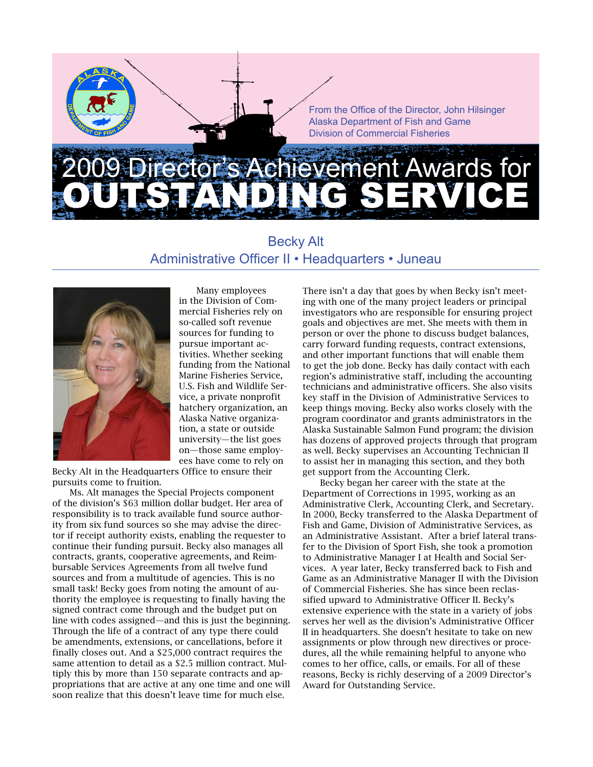# <span id="page-4-0"></span>ement Awards for Outstanding Service

#### Becky Alt Administrative Officer II • Headquarters • Juneau



Many employees in the Division of Commercial Fisheries rely on so-called soft revenue sources for funding to pursue important activities. Whether seeking funding from the National Marine Fisheries Service, U.S. Fish and Wildlife Service, a private nonprofit hatchery organization, an Alaska Native organization, a state or outside university—the list goes on—those same employees have come to rely on

Becky Alt in the Headquarters Office to ensure their pursuits come to fruition.

Ms. Alt manages the Special Projects component of the division's \$63 million dollar budget. Her area of responsibility is to track available fund source authority from six fund sources so she may advise the director if receipt authority exists, enabling the requester to continue their funding pursuit. Becky also manages all contracts, grants, cooperative agreements, and Reimbursable Services Agreements from all twelve fund sources and from a multitude of agencies. This is no small task! Becky goes from noting the amount of authority the employee is requesting to finally having the signed contract come through and the budget put on line with codes assigned—and this is just the beginning. Through the life of a contract of any type there could be amendments, extensions, or cancellations, before it finally closes out. And a \$25,000 contract requires the same attention to detail as a \$2.5 million contract. Multiply this by more than 150 separate contracts and appropriations that are active at any one time and one will soon realize that this doesn't leave time for much else.

There isn't a day that goes by when Becky isn't meeting with one of the many project leaders or principal investigators who are responsible for ensuring project goals and objectives are met. She meets with them in person or over the phone to discuss budget balances, carry forward funding requests, contract extensions, and other important functions that will enable them to get the job done. Becky has daily contact with each region's administrative staff, including the accounting technicians and administrative officers. She also visits key staff in the Division of Administrative Services to keep things moving. Becky also works closely with the program coordinator and grants administrators in the Alaska Sustainable Salmon Fund program; the division has dozens of approved projects through that program as well. Becky supervises an Accounting Technician II to assist her in managing this section, and they both get support from the Accounting Clerk.

Becky began her career with the state at the Department of Corrections in 1995, working as an Administrative Clerk, Accounting Clerk, and Secretary. In 2000, Becky transferred to the Alaska Department of Fish and Game, Division of Administrative Services, as an Administrative Assistant. After a brief lateral transfer to the Division of Sport Fish, she took a promotion to Administrative Manager I at Health and Social Services. A year later, Becky transferred back to Fish and Game as an Administrative Manager II with the Division of Commercial Fisheries. She has since been reclassified upward to Administrative Officer II. Becky's extensive experience with the state in a variety of jobs serves her well as the division's Administrative Officer II in headquarters. She doesn't hesitate to take on new assignments or plow through new directives or procedures, all the while remaining helpful to anyone who comes to her office, calls, or emails. For all of these reasons, Becky is richly deserving of a 2009 Director's Award for Outstanding Service.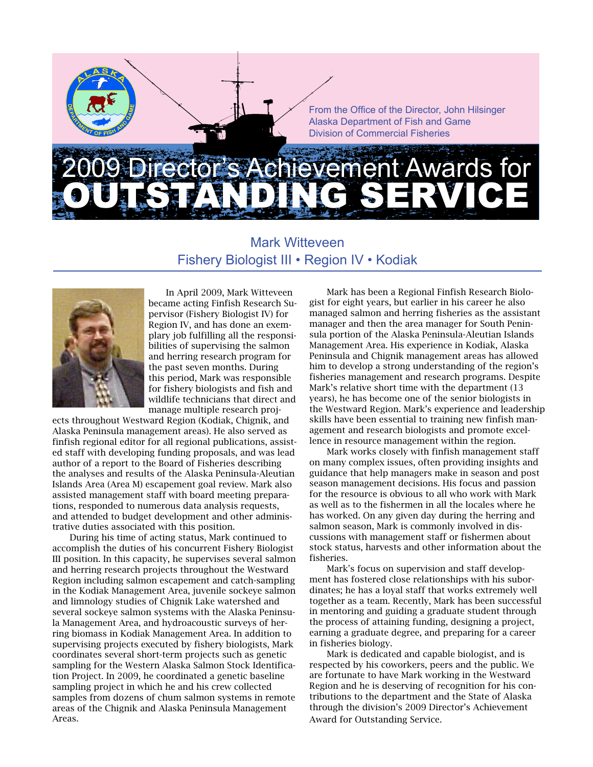## <span id="page-5-0"></span>evement Awards for Outstanding Service

#### Mark Witteveen Fishery Biologist III • Region IV • Kodiak



In April 2009, Mark Witteveen became acting Finfish Research Supervisor (Fishery Biologist IV) for Region IV, and has done an exemplary job fulfilling all the responsibilities of supervising the salmon and herring research program for the past seven months. During this period, Mark was responsible for fishery biologists and fish and wildlife technicians that direct and manage multiple research proj-

ects throughout Westward Region (Kodiak, Chignik, and Alaska Peninsula management areas). He also served as finfish regional editor for all regional publications, assisted staff with developing funding proposals, and was lead author of a report to the Board of Fisheries describing the analyses and results of the Alaska Peninsula-Aleutian Islands Area (Area M) escapement goal review. Mark also assisted management staff with board meeting preparations, responded to numerous data analysis requests, and attended to budget development and other administrative duties associated with this position.

During his time of acting status, Mark continued to accomplish the duties of his concurrent Fishery Biologist III position. In this capacity, he supervises several salmon and herring research projects throughout the Westward Region including salmon escapement and catch-sampling in the Kodiak Management Area, juvenile sockeye salmon and limnology studies of Chignik Lake watershed and several sockeye salmon systems with the Alaska Peninsula Management Area, and hydroacoustic surveys of herring biomass in Kodiak Management Area. In addition to supervising projects executed by fishery biologists, Mark coordinates several short-term projects such as genetic sampling for the Western Alaska Salmon Stock Identification Project. In 2009, he coordinated a genetic baseline sampling project in which he and his crew collected samples from dozens of chum salmon systems in remote areas of the Chignik and Alaska Peninsula Management Areas.

Mark has been a Regional Finfish Research Biologist for eight years, but earlier in his career he also managed salmon and herring fisheries as the assistant manager and then the area manager for South Peninsula portion of the Alaska Peninsula-Aleutian Islands Management Area. His experience in Kodiak, Alaska Peninsula and Chignik management areas has allowed him to develop a strong understanding of the region's fisheries management and research programs. Despite Mark's relative short time with the department (13 years), he has become one of the senior biologists in the Westward Region. Mark's experience and leadership skills have been essential to training new finfish management and research biologists and promote excellence in resource management within the region.

Mark works closely with finfish management staff on many complex issues, often providing insights and guidance that help managers make in season and post season management decisions. His focus and passion for the resource is obvious to all who work with Mark as well as to the fishermen in all the locales where he has worked. On any given day during the herring and salmon season, Mark is commonly involved in discussions with management staff or fishermen about stock status, harvests and other information about the fisheries.

Mark's focus on supervision and staff development has fostered close relationships with his subordinates; he has a loyal staff that works extremely well together as a team. Recently, Mark has been successful in mentoring and guiding a graduate student through the process of attaining funding, designing a project, earning a graduate degree, and preparing for a career in fisheries biology.

Mark is dedicated and capable biologist, and is respected by his coworkers, peers and the public. We are fortunate to have Mark working in the Westward Region and he is deserving of recognition for his contributions to the department and the State of Alaska through the division's 2009 Director's Achievement Award for Outstanding Service.